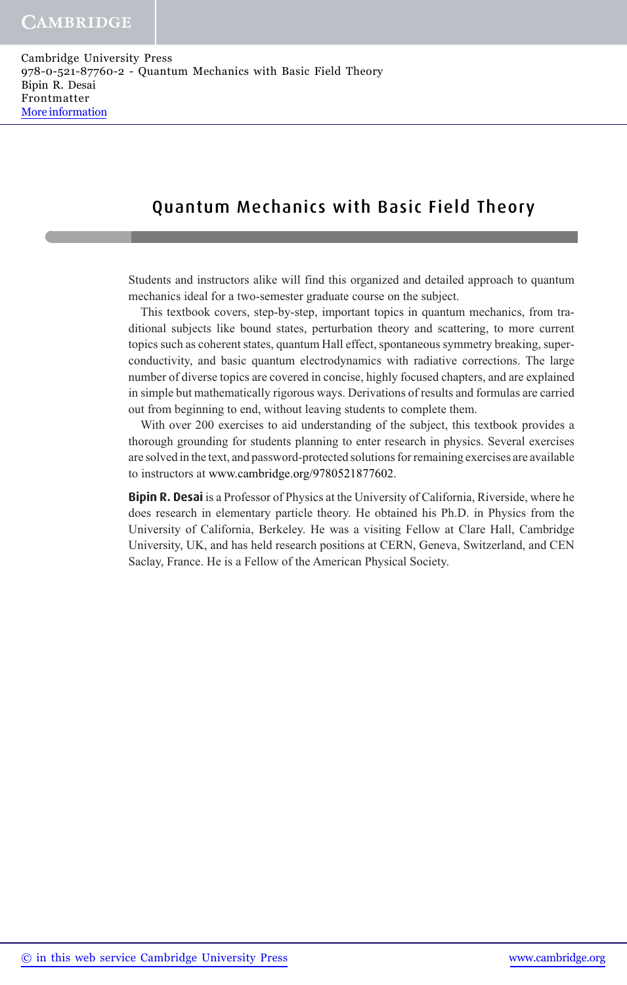#### Quantum Mechanics with Basic Field Theory

Students and instructors alike will find this organized and detailed approach to quantum mechanics ideal for a two-semester graduate course on the subject.

This textbook covers, step-by-step, important topics in quantum mechanics, from traditional subjects like bound states, perturbation theory and scattering, to more current topics such as coherent states, quantum Hall effect, spontaneous symmetry breaking, superconductivity, and basic quantum electrodynamics with radiative corrections. The large number of diverse topics are covered in concise, highly focused chapters, and are explained in simple but mathematically rigorous ways. Derivations of results and formulas are carried out from beginning to end, without leaving students to complete them.

With over 200 exercises to aid understanding of the subject, this textbook provides a thorough grounding for students planning to enter research in physics. Several exercises are solved in the text, and password-protected solutions for remaining exercises are available to instructors at www.cambridge.org/9780521877602.

**Bipin R. Desai** is a Professor of Physics at the University of California, Riverside, where he does research in elementary particle theory. He obtained his Ph.D. in Physics from the University of California, Berkeley. He was a visiting Fellow at Clare Hall, Cambridge University, UK, and has held research positions at CERN, Geneva, Switzerland, and CEN Saclay, France. He is a Fellow of the American Physical Society.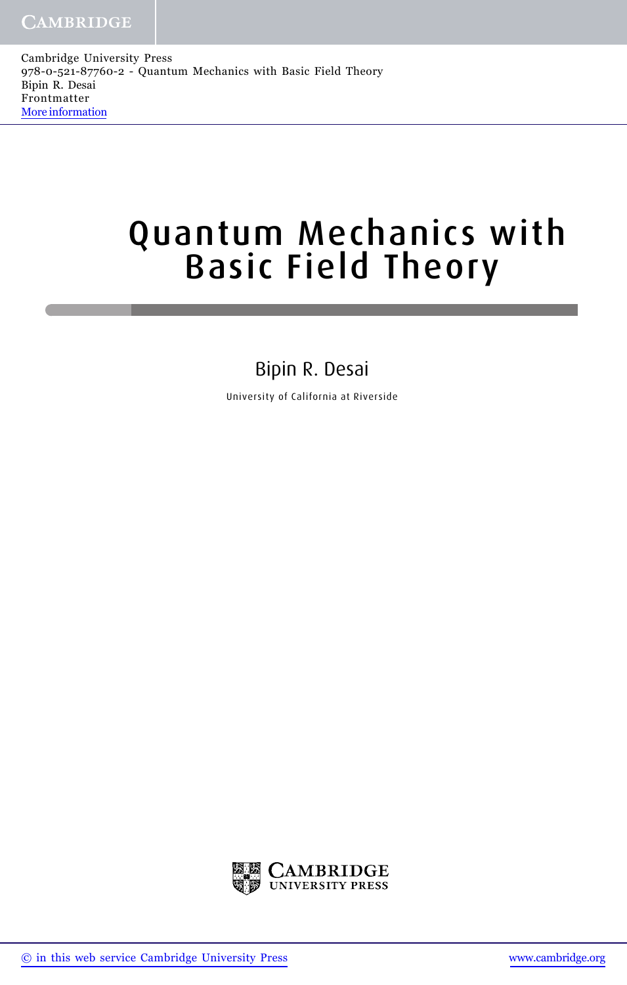# Quantum Mechanics with Basic Field Theory

### Bipin R. Desai

University of California at Riverside

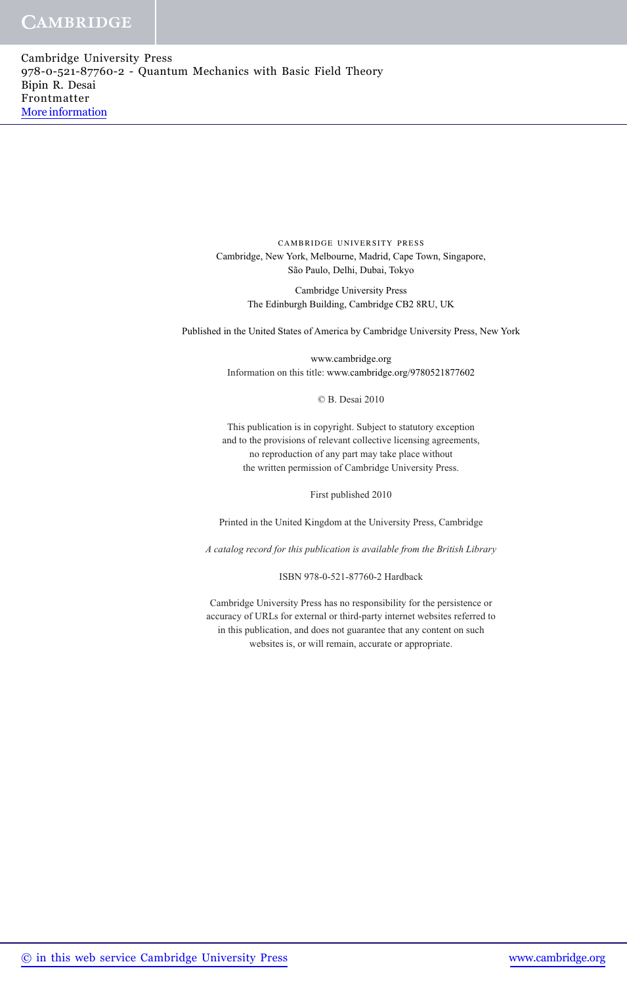> cambridge university press Cambridge, New York, Melbourne, Madrid, Cape Town, Singapore, São Paulo, Delhi, Dubai, Tokyo

> > Cambridge University Press The Edinburgh Building, Cambridge CB2 8RU, UK

Published in the United States of America by Cambridge University Press, New York

www.cambridge.org Information on this title: www.cambridge.org/9780521877602

#### © B. Desai 2010

This publication is in copyright. Subject to statutory exception and to the provisions of relevant collective licensing agreements, no reproduction of any part may take place without the written permission of Cambridge University Press.

First published 2010

Printed in the United Kingdom at the University Press, Cambridge

*A catalog record for this publication is available from the British Library*

ISBN 978-0-521-87760-2 Hardback

Cambridge University Press has no responsibility for the persistence or accuracy of URLs for external or third-party internet websites referred to in this publication, and does not guarantee that any content on such websites is, or will remain, accurate or appropriate.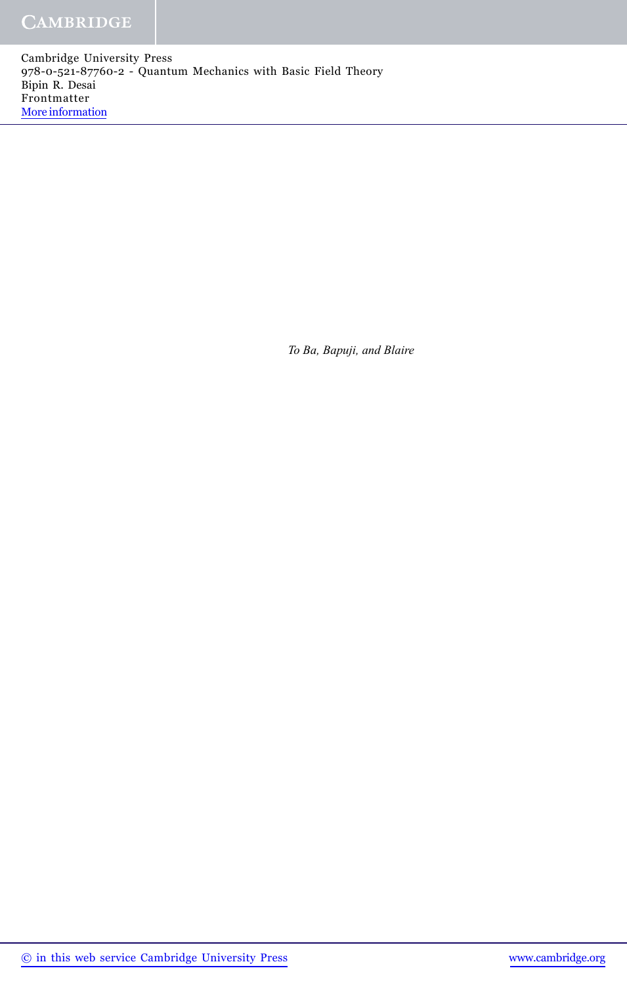*To Ba, Bapuji, and Blaire*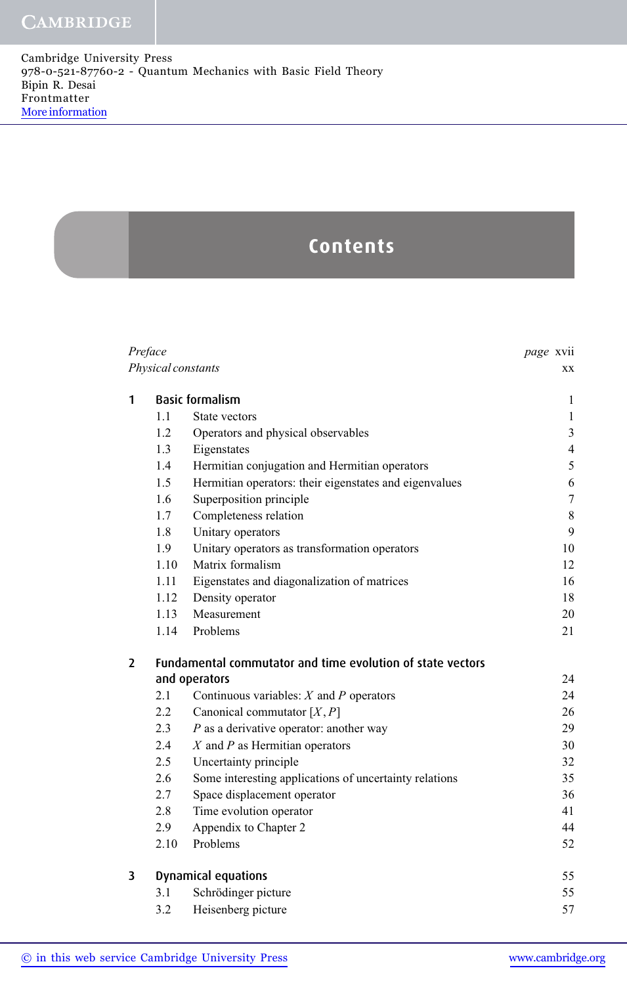### **Contents**

| Preface        |                    |                                                            |                  |  |  |
|----------------|--------------------|------------------------------------------------------------|------------------|--|--|
|                | Physical constants |                                                            | XX               |  |  |
| $\mathbf{1}$   |                    | <b>Basic formalism</b>                                     | 1                |  |  |
|                | 1.1                | State vectors                                              | $\mathbf{1}$     |  |  |
|                | 1.2                | Operators and physical observables                         | $\mathfrak{Z}$   |  |  |
|                | 1.3                | Eigenstates                                                | $\overline{4}$   |  |  |
|                | 1.4                | Hermitian conjugation and Hermitian operators              | 5                |  |  |
|                | 1.5                | Hermitian operators: their eigenstates and eigenvalues     | 6                |  |  |
|                | 1.6                | Superposition principle                                    | $\boldsymbol{7}$ |  |  |
|                | 1.7                | Completeness relation                                      | $8\,$            |  |  |
|                | 1.8                | Unitary operators                                          | 9                |  |  |
|                | 1.9                | Unitary operators as transformation operators              | 10               |  |  |
|                | 1.10               | Matrix formalism                                           | 12               |  |  |
|                | 1.11               | Eigenstates and diagonalization of matrices                | 16               |  |  |
|                | 1.12               | Density operator                                           | 18               |  |  |
|                | 1.13               | Measurement                                                | 20               |  |  |
|                | 1.14               | Problems                                                   | 21               |  |  |
| $\overline{2}$ |                    | Fundamental commutator and time evolution of state vectors |                  |  |  |
|                |                    | and operators                                              | 24               |  |  |
|                | 2.1                | Continuous variables: $X$ and $P$ operators                | 24               |  |  |
|                | 2.2                | Canonical commutator $[X, P]$                              | 26               |  |  |
|                | 2.3                | $P$ as a derivative operator: another way                  | 29               |  |  |
|                | 2.4                | $X$ and $P$ as Hermitian operators                         | 30               |  |  |
|                | 2.5                | Uncertainty principle                                      | 32               |  |  |
|                | 2.6                | Some interesting applications of uncertainty relations     | 35               |  |  |
|                | 2.7                | Space displacement operator                                | 36               |  |  |
|                | 2.8                | Time evolution operator                                    | 41               |  |  |
|                | 2.9                | Appendix to Chapter 2                                      | 44               |  |  |
|                | 2.10               | Problems                                                   | 52               |  |  |
| 3              |                    | <b>Dynamical equations</b>                                 | 55               |  |  |
|                | 3.1                | Schrödinger picture                                        | 55               |  |  |
|                | 3.2                | Heisenberg picture                                         | 57               |  |  |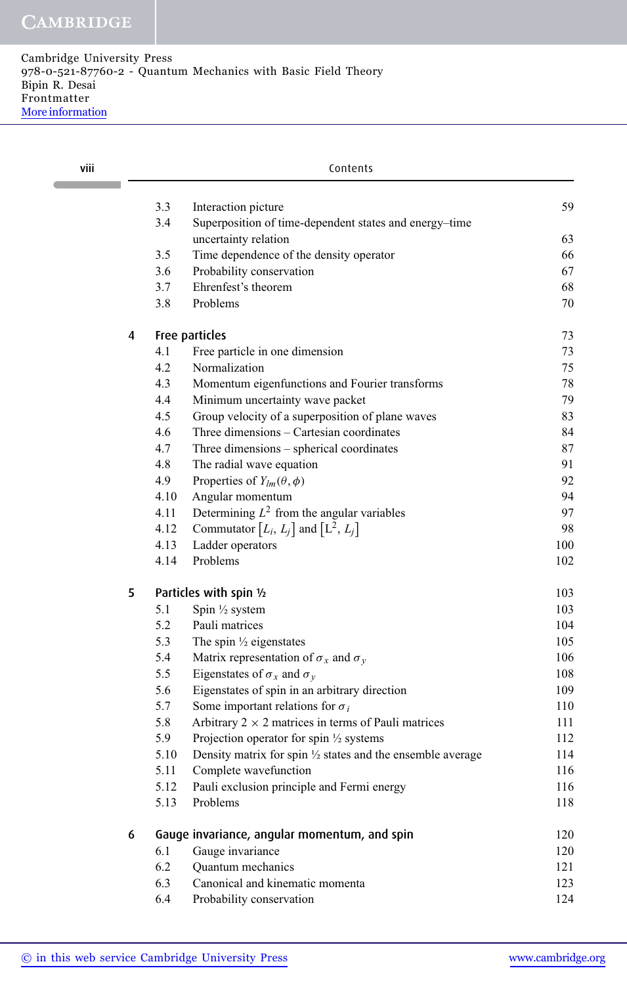| viii |   | Contents |                                                                       |     |  |  |
|------|---|----------|-----------------------------------------------------------------------|-----|--|--|
|      |   | 3.3      | Interaction picture                                                   | 59  |  |  |
|      |   | 3.4      | Superposition of time-dependent states and energy-time                |     |  |  |
|      |   |          | uncertainty relation                                                  | 63  |  |  |
|      |   | 3.5      | Time dependence of the density operator                               | 66  |  |  |
|      |   | 3.6      | Probability conservation                                              | 67  |  |  |
|      |   | 3.7      | Ehrenfest's theorem                                                   | 68  |  |  |
|      |   | 3.8      | Problems                                                              | 70  |  |  |
|      | 4 |          | Free particles                                                        | 73  |  |  |
|      |   | 4.1      | Free particle in one dimension                                        | 73  |  |  |
|      |   | 4.2      | Normalization                                                         | 75  |  |  |
|      |   | 4.3      | Momentum eigenfunctions and Fourier transforms                        | 78  |  |  |
|      |   | 4.4      | Minimum uncertainty wave packet                                       | 79  |  |  |
|      |   | 4.5      | Group velocity of a superposition of plane waves                      | 83  |  |  |
|      |   | 4.6      | Three dimensions - Cartesian coordinates                              | 84  |  |  |
|      |   | 4.7      | Three dimensions – spherical coordinates                              | 87  |  |  |
|      |   | 4.8      | The radial wave equation                                              | 91  |  |  |
|      |   | 4.9      | Properties of $Y_{lm}(\theta, \phi)$                                  | 92  |  |  |
|      |   | 4.10     | Angular momentum                                                      | 94  |  |  |
|      |   | 4.11     | Determining $L^2$ from the angular variables                          | 97  |  |  |
|      |   | 4.12     | Commutator $[L_i, L_j]$ and $[L^2, L_j]$                              | 98  |  |  |
|      |   | 4.13     | Ladder operators                                                      | 100 |  |  |
|      |   | 4.14     | Problems                                                              | 102 |  |  |
|      | 5 |          | Particles with spin 1/2                                               | 103 |  |  |
|      |   | 5.1      | Spin $\frac{1}{2}$ system                                             | 103 |  |  |
|      |   | 5.2      | Pauli matrices                                                        | 104 |  |  |
|      |   | 5.3      | The spin $\frac{1}{2}$ eigenstates                                    | 105 |  |  |
|      |   | 5.4      | Matrix representation of $\sigma_x$ and $\sigma_y$                    | 106 |  |  |
|      |   | 5.5      | Eigenstates of $\sigma_x$ and $\sigma_y$                              | 108 |  |  |
|      |   | 5.6      | Eigenstates of spin in an arbitrary direction                         | 109 |  |  |
|      |   | 5.7      | Some important relations for $\sigma_i$                               | 110 |  |  |
|      |   | 5.8      | Arbitrary $2 \times 2$ matrices in terms of Pauli matrices            | 111 |  |  |
|      |   | 5.9      | Projection operator for spin $\frac{1}{2}$ systems                    | 112 |  |  |
|      |   | 5.10     | Density matrix for spin $\frac{1}{2}$ states and the ensemble average | 114 |  |  |
|      |   | 5.11     | Complete wavefunction                                                 | 116 |  |  |
|      |   | 5.12     | Pauli exclusion principle and Fermi energy                            | 116 |  |  |
|      |   | 5.13     | Problems                                                              | 118 |  |  |
|      | 6 |          | Gauge invariance, angular momentum, and spin                          | 120 |  |  |
|      |   | 6.1      | Gauge invariance                                                      | 120 |  |  |
|      |   | 6.2      | Quantum mechanics                                                     | 121 |  |  |
|      |   | 6.3      | Canonical and kinematic momenta                                       | 123 |  |  |
|      |   | 6.4      | Probability conservation                                              | 124 |  |  |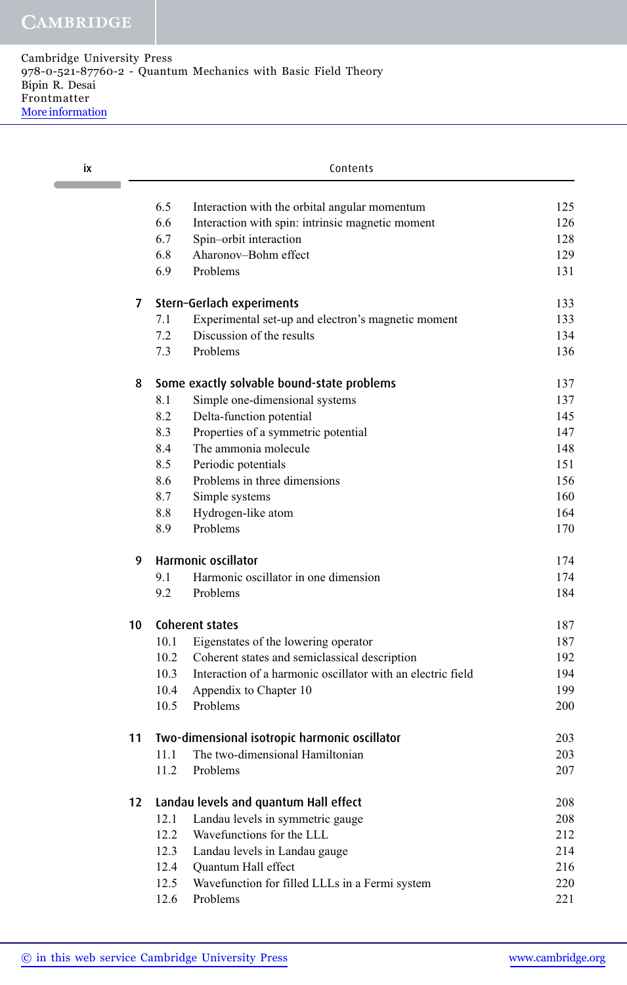| ix |                | Contents                   |                                                                            |            |  |
|----|----------------|----------------------------|----------------------------------------------------------------------------|------------|--|
|    |                |                            |                                                                            |            |  |
|    |                | 6.5<br>6.6                 | Interaction with the orbital angular momentum                              | 125<br>126 |  |
|    |                | 6.7                        | Interaction with spin: intrinsic magnetic moment<br>Spin-orbit interaction | 128        |  |
|    |                | 6.8                        | Aharonov-Bohm effect                                                       | 129        |  |
|    |                | 6.9<br>Problems            |                                                                            | 131        |  |
|    |                |                            |                                                                            |            |  |
|    | $\overline{7}$ | Stern-Gerlach experiments  |                                                                            | 133        |  |
|    |                | 7.1                        | Experimental set-up and electron's magnetic moment                         | 133        |  |
|    |                | 7.2                        | Discussion of the results                                                  | 134        |  |
|    |                | 7.3<br>Problems            |                                                                            | 136        |  |
|    | 8              |                            | Some exactly solvable bound-state problems                                 | 137        |  |
|    |                | 8.1                        | Simple one-dimensional systems                                             | 137        |  |
|    |                | 8.2                        | Delta-function potential                                                   | 145        |  |
|    |                | 8.3                        | Properties of a symmetric potential                                        | 147        |  |
|    |                | 8.4                        | The ammonia molecule                                                       | 148        |  |
|    |                | 8.5<br>Periodic potentials |                                                                            | 151        |  |
|    |                | 8.6                        | Problems in three dimensions                                               | 156        |  |
|    |                | 8.7<br>Simple systems      |                                                                            | 160        |  |
|    |                | 8.8                        | Hydrogen-like atom                                                         | 164        |  |
|    |                | 8.9<br>Problems            |                                                                            | 170        |  |
|    | 9              | Harmonic oscillator        |                                                                            | 174        |  |
|    |                | 9.1                        | Harmonic oscillator in one dimension                                       | 174        |  |
|    |                | 9.2<br>Problems            |                                                                            | 184        |  |
|    | 10             | <b>Coherent states</b>     |                                                                            | 187        |  |
|    |                | 10.1                       | Eigenstates of the lowering operator                                       | 187        |  |
|    |                | 10.2                       | Coherent states and semiclassical description                              | 192        |  |
|    |                | 10.3                       | Interaction of a harmonic oscillator with an electric field                | 194        |  |
|    |                | 10.4                       | Appendix to Chapter 10                                                     | 199        |  |
|    |                | Problems<br>10.5           |                                                                            | 200        |  |
|    | 11             |                            | Two-dimensional isotropic harmonic oscillator                              | 203        |  |
|    |                | 11.1                       | The two-dimensional Hamiltonian                                            | 203        |  |
|    |                | 11.2<br>Problems           |                                                                            | 207        |  |
|    |                |                            |                                                                            |            |  |
|    | 12             |                            | Landau levels and quantum Hall effect                                      | 208        |  |
|    |                | 12.1                       | Landau levels in symmetric gauge                                           | 208        |  |
|    |                | 12.2                       | Wavefunctions for the LLL                                                  | 212        |  |
|    |                | 12.3                       | Landau levels in Landau gauge                                              | 214        |  |
|    |                | 12.4                       | Quantum Hall effect                                                        | 216        |  |
|    |                | 12.5                       | Wavefunction for filled LLLs in a Fermi system                             | 220        |  |
|    |                | Problems<br>12.6           |                                                                            | 221        |  |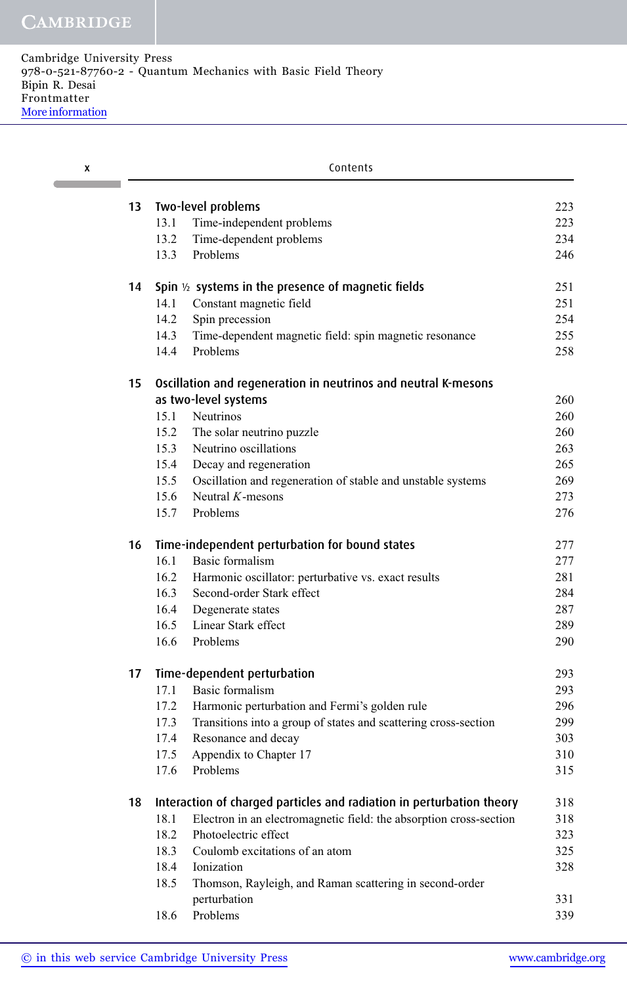| X | Contents |                                                                            |     |  |  |
|---|----------|----------------------------------------------------------------------------|-----|--|--|
|   | 13       | <b>Two-level problems</b>                                                  | 223 |  |  |
|   |          | Time-independent problems<br>13.1                                          | 223 |  |  |
|   |          | Time-dependent problems<br>13.2                                            | 234 |  |  |
|   |          | Problems<br>13.3                                                           | 246 |  |  |
|   | 14       | Spin $\frac{1}{2}$ systems in the presence of magnetic fields              | 251 |  |  |
|   |          | 14.1<br>Constant magnetic field                                            | 251 |  |  |
|   |          | 14.2<br>Spin precession                                                    | 254 |  |  |
|   |          | 14.3<br>Time-dependent magnetic field: spin magnetic resonance             | 255 |  |  |
|   |          | 14.4<br>Problems                                                           | 258 |  |  |
|   | 15       | Oscillation and regeneration in neutrinos and neutral K-mesons             |     |  |  |
|   |          | as two-level systems                                                       | 260 |  |  |
|   |          | Neutrinos<br>15.1                                                          | 260 |  |  |
|   |          | 15.2<br>The solar neutrino puzzle                                          | 260 |  |  |
|   |          | Neutrino oscillations<br>15.3                                              | 263 |  |  |
|   |          | 15.4<br>Decay and regeneration                                             | 265 |  |  |
|   |          | 15.5<br>Oscillation and regeneration of stable and unstable systems        | 269 |  |  |
|   |          | 15.6<br>Neutral $K$ -mesons                                                | 273 |  |  |
|   |          | 15.7<br>Problems                                                           | 276 |  |  |
|   | 16       | Time-independent perturbation for bound states                             | 277 |  |  |
|   |          | 16.1<br>Basic formalism                                                    | 277 |  |  |
|   |          | 16.2<br>Harmonic oscillator: perturbative vs. exact results                | 281 |  |  |
|   |          | Second-order Stark effect<br>16.3                                          | 284 |  |  |
|   |          | 16.4<br>Degenerate states                                                  | 287 |  |  |
|   |          | Linear Stark effect<br>16.5                                                | 289 |  |  |
|   |          | Problems<br>16.6                                                           | 290 |  |  |
|   | 17       | Time-dependent perturbation                                                | 293 |  |  |
|   |          | Basic formalism<br>17.1                                                    | 293 |  |  |
|   |          | 17.2<br>Harmonic perturbation and Fermi's golden rule                      | 296 |  |  |
|   |          | 17.3<br>Transitions into a group of states and scattering cross-section    | 299 |  |  |
|   |          | 17.4<br>Resonance and decay                                                | 303 |  |  |
|   |          | 17.5<br>Appendix to Chapter 17                                             | 310 |  |  |
|   |          | 17.6<br>Problems                                                           | 315 |  |  |
|   | 18       | Interaction of charged particles and radiation in perturbation theory      | 318 |  |  |
|   |          | Electron in an electromagnetic field: the absorption cross-section<br>18.1 | 318 |  |  |
|   |          | Photoelectric effect<br>18.2                                               | 323 |  |  |
|   |          | 18.3<br>Coulomb excitations of an atom                                     | 325 |  |  |
|   |          | 18.4<br>Ionization                                                         | 328 |  |  |
|   |          | 18.5<br>Thomson, Rayleigh, and Raman scattering in second-order            |     |  |  |
|   |          | perturbation                                                               | 331 |  |  |
|   |          | Problems<br>18.6                                                           | 339 |  |  |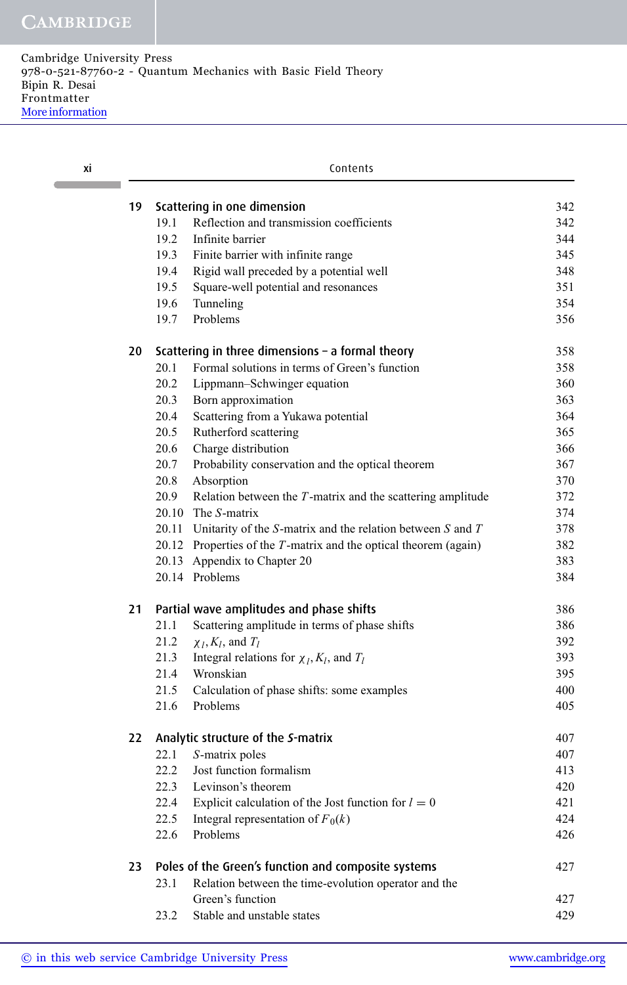| хi |    | Contents                                                                   |     |  |  |  |
|----|----|----------------------------------------------------------------------------|-----|--|--|--|
|    | 19 | Scattering in one dimension                                                | 342 |  |  |  |
|    |    | 19.1<br>Reflection and transmission coefficients                           | 342 |  |  |  |
|    |    | 19.2<br>Infinite barrier                                                   | 344 |  |  |  |
|    |    | 19.3<br>Finite barrier with infinite range                                 | 345 |  |  |  |
|    |    | 19.4<br>Rigid wall preceded by a potential well                            | 348 |  |  |  |
|    |    | 19.5<br>Square-well potential and resonances                               | 351 |  |  |  |
|    |    | 19.6<br>Tunneling                                                          | 354 |  |  |  |
|    |    | Problems<br>19.7                                                           | 356 |  |  |  |
|    | 20 | Scattering in three dimensions - a formal theory                           | 358 |  |  |  |
|    |    | 20.1<br>Formal solutions in terms of Green's function                      | 358 |  |  |  |
|    |    | 20.2<br>Lippmann-Schwinger equation                                        | 360 |  |  |  |
|    |    | 20.3<br>Born approximation                                                 | 363 |  |  |  |
|    |    | 20.4<br>Scattering from a Yukawa potential                                 | 364 |  |  |  |
|    |    | 20.5<br>Rutherford scattering                                              | 365 |  |  |  |
|    |    | 20.6<br>Charge distribution                                                | 366 |  |  |  |
|    |    | 20.7<br>Probability conservation and the optical theorem                   | 367 |  |  |  |
|    |    | 20.8<br>Absorption                                                         | 370 |  |  |  |
|    |    | 20.9<br>Relation between the $T$ -matrix and the scattering amplitude      | 372 |  |  |  |
|    |    | $20.10$ The S-matrix                                                       | 374 |  |  |  |
|    |    | 20.11<br>Unitarity of the $S$ -matrix and the relation between $S$ and $T$ | 378 |  |  |  |
|    |    | 20.12 Properties of the $T$ -matrix and the optical theorem (again)        | 382 |  |  |  |
|    |    | 20.13 Appendix to Chapter 20                                               | 383 |  |  |  |
|    |    | 20.14 Problems                                                             | 384 |  |  |  |
|    | 21 | Partial wave amplitudes and phase shifts                                   | 386 |  |  |  |
|    |    | 21.1<br>Scattering amplitude in terms of phase shifts                      | 386 |  |  |  |
|    |    | 21.2<br>$\chi_l, K_l$ , and $T_l$                                          | 392 |  |  |  |
|    |    | 21.3<br>Integral relations for $\chi_l, K_l$ , and $T_l$                   | 393 |  |  |  |
|    |    | 21.4<br>Wronskian                                                          | 395 |  |  |  |
|    |    | 21.5<br>Calculation of phase shifts: some examples                         | 400 |  |  |  |
|    |    | 21.6<br>Problems                                                           | 405 |  |  |  |
|    | 22 | Analytic structure of the S-matrix                                         | 407 |  |  |  |
|    |    | 22.1<br>S-matrix poles                                                     | 407 |  |  |  |
|    |    | Jost function formalism<br>22.2                                            | 413 |  |  |  |
|    |    | 22.3<br>Levinson's theorem                                                 | 420 |  |  |  |
|    |    | Explicit calculation of the Jost function for $l = 0$<br>22.4              | 421 |  |  |  |
|    |    | 22.5<br>Integral representation of $F_0(k)$                                | 424 |  |  |  |
|    |    | 22.6<br>Problems                                                           | 426 |  |  |  |
|    | 23 | Poles of the Green's function and composite systems                        | 427 |  |  |  |
|    |    | Relation between the time-evolution operator and the<br>23.1               |     |  |  |  |
|    |    | Green's function                                                           | 427 |  |  |  |
|    |    | Stable and unstable states<br>23.2                                         | 429 |  |  |  |
|    |    |                                                                            |     |  |  |  |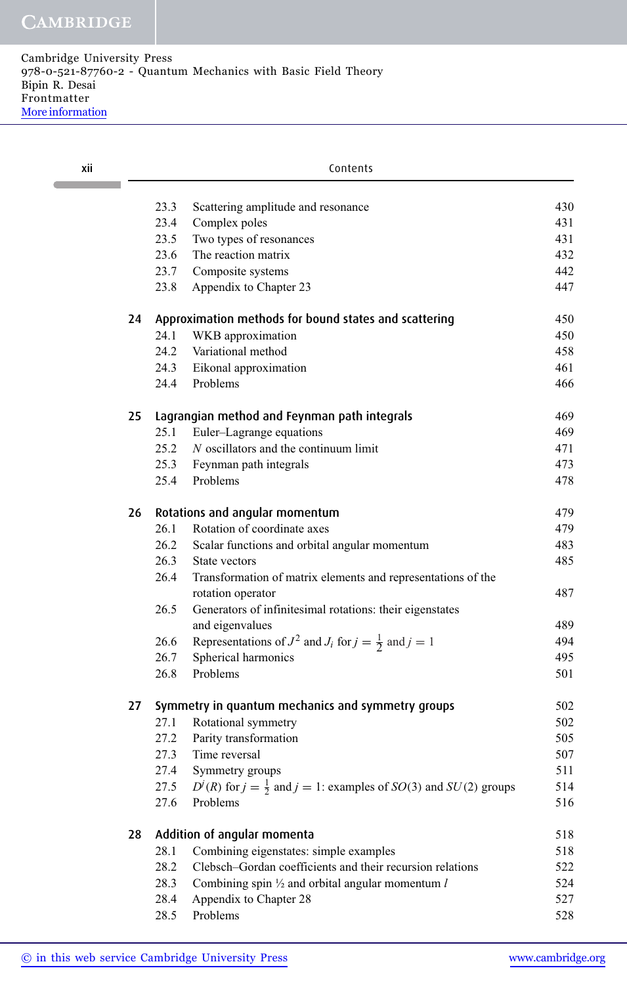| xii |      | Contents                                                                              |     |  |  |
|-----|------|---------------------------------------------------------------------------------------|-----|--|--|
|     | 23.3 | Scattering amplitude and resonance                                                    | 430 |  |  |
|     | 23.4 | Complex poles                                                                         | 431 |  |  |
|     | 23.5 | Two types of resonances                                                               | 431 |  |  |
|     | 23.6 | The reaction matrix                                                                   | 432 |  |  |
|     | 23.7 | Composite systems                                                                     | 442 |  |  |
|     | 23.8 | Appendix to Chapter 23                                                                | 447 |  |  |
|     | 24   | Approximation methods for bound states and scattering                                 | 450 |  |  |
|     | 24.1 | WKB approximation                                                                     | 450 |  |  |
|     | 24.2 | Variational method                                                                    | 458 |  |  |
|     | 24.3 | Eikonal approximation                                                                 | 461 |  |  |
|     | 24.4 | Problems                                                                              | 466 |  |  |
|     | 25   | Lagrangian method and Feynman path integrals                                          | 469 |  |  |
|     | 25.1 | Euler-Lagrange equations                                                              | 469 |  |  |
|     | 25.2 | $N$ oscillators and the continuum limit                                               | 471 |  |  |
|     | 25.3 | Feynman path integrals                                                                | 473 |  |  |
|     | 25.4 | Problems                                                                              | 478 |  |  |
|     | 26   | Rotations and angular momentum                                                        | 479 |  |  |
|     | 26.1 | Rotation of coordinate axes                                                           | 479 |  |  |
|     | 26.2 | Scalar functions and orbital angular momentum                                         | 483 |  |  |
|     | 26.3 | State vectors                                                                         | 485 |  |  |
|     | 26.4 | Transformation of matrix elements and representations of the                          |     |  |  |
|     | 26.5 | rotation operator                                                                     | 487 |  |  |
|     |      | Generators of infinitesimal rotations: their eigenstates<br>and eigenvalues           | 489 |  |  |
|     | 26.6 | Representations of $J^2$ and $J_i$ for $j = \frac{1}{2}$ and $j = 1$                  | 494 |  |  |
|     | 26.7 | Spherical harmonics                                                                   | 495 |  |  |
|     | 26.8 | Problems                                                                              | 501 |  |  |
|     | 27   | Symmetry in quantum mechanics and symmetry groups                                     | 502 |  |  |
|     | 27.1 | Rotational symmetry                                                                   | 502 |  |  |
|     | 27.2 | Parity transformation                                                                 | 505 |  |  |
|     | 27.3 | Time reversal                                                                         | 507 |  |  |
|     | 27.4 | Symmetry groups                                                                       | 511 |  |  |
|     | 27.5 | $D^{j}(R)$ for $j = \frac{1}{2}$ and $j = 1$ : examples of $SO(3)$ and $SU(2)$ groups | 514 |  |  |
|     | 27.6 | Problems                                                                              | 516 |  |  |
|     | 28   | Addition of angular momenta                                                           | 518 |  |  |
|     | 28.1 | Combining eigenstates: simple examples                                                | 518 |  |  |
|     | 28.2 | Clebsch-Gordan coefficients and their recursion relations                             | 522 |  |  |
|     | 28.3 | Combining spin $\frac{1}{2}$ and orbital angular momentum l                           | 524 |  |  |
|     | 28.4 | Appendix to Chapter 28                                                                | 527 |  |  |
|     | 28.5 | Problems                                                                              | 528 |  |  |
|     |      |                                                                                       |     |  |  |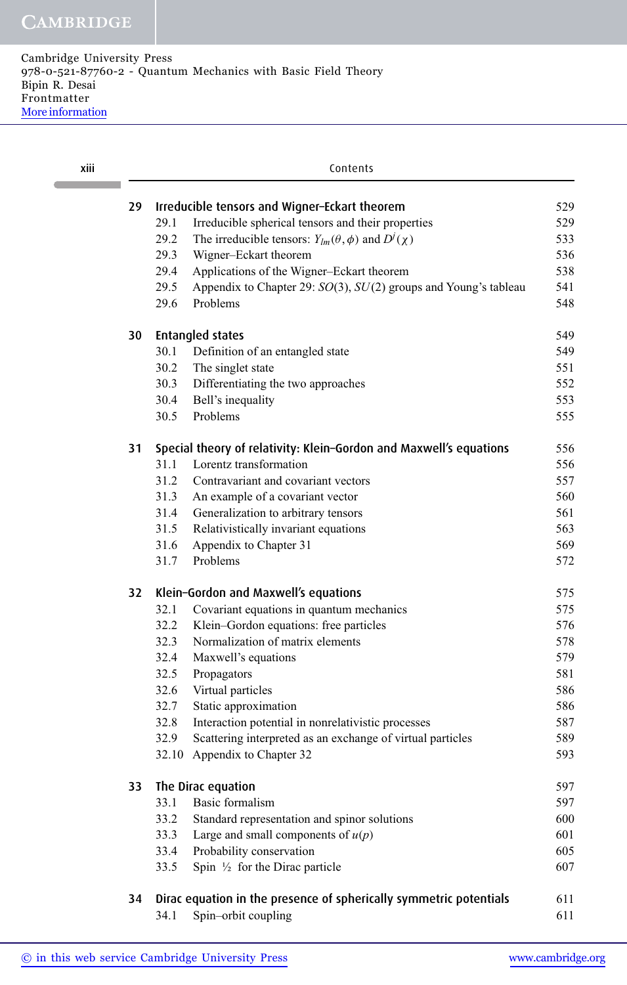| xiii |    | Contents                                                                            |  |  |  |  |
|------|----|-------------------------------------------------------------------------------------|--|--|--|--|
|      | 29 | Irreducible tensors and Wigner-Eckart theorem<br>529                                |  |  |  |  |
|      |    | 29.1<br>Irreducible spherical tensors and their properties<br>529                   |  |  |  |  |
|      |    | 29.2<br>The irreducible tensors: $Y_{lm}(\theta, \phi)$ and $D^{j}(\chi)$<br>533    |  |  |  |  |
|      |    | 29.3<br>Wigner-Eckart theorem<br>536                                                |  |  |  |  |
|      |    | Applications of the Wigner-Eckart theorem<br>29.4<br>538                            |  |  |  |  |
|      |    | 29.5<br>Appendix to Chapter 29: $SO(3)$ , $SU(2)$ groups and Young's tableau<br>541 |  |  |  |  |
|      |    | 29.6<br>Problems<br>548                                                             |  |  |  |  |
|      | 30 | <b>Entangled states</b><br>549                                                      |  |  |  |  |
|      |    | 30.1<br>Definition of an entangled state<br>549                                     |  |  |  |  |
|      |    | 30.2<br>The singlet state<br>551                                                    |  |  |  |  |
|      |    | 552<br>30.3<br>Differentiating the two approaches                                   |  |  |  |  |
|      |    | 30.4<br>Bell's inequality<br>553                                                    |  |  |  |  |
|      |    | 30.5<br>Problems<br>555                                                             |  |  |  |  |
|      | 31 | Special theory of relativity: Klein-Gordon and Maxwell's equations<br>556           |  |  |  |  |
|      |    | 31.1<br>Lorentz transformation<br>556                                               |  |  |  |  |
|      |    | 31.2<br>Contravariant and covariant vectors<br>557                                  |  |  |  |  |
|      |    | 31.3<br>An example of a covariant vector<br>560                                     |  |  |  |  |
|      |    | 31.4<br>Generalization to arbitrary tensors<br>561                                  |  |  |  |  |
|      |    | 31.5<br>Relativistically invariant equations<br>563<br>31.6<br>569                  |  |  |  |  |
|      |    | Appendix to Chapter 31<br>Problems<br>31.7<br>572                                   |  |  |  |  |
|      |    |                                                                                     |  |  |  |  |
|      | 32 | Klein-Gordon and Maxwell's equations<br>575                                         |  |  |  |  |
|      |    | Covariant equations in quantum mechanics<br>32.1<br>575                             |  |  |  |  |
|      |    | 32.2<br>Klein-Gordon equations: free particles<br>576                               |  |  |  |  |
|      |    | 32.3<br>Normalization of matrix elements<br>578                                     |  |  |  |  |
|      |    | 32.4<br>Maxwell's equations<br>579                                                  |  |  |  |  |
|      |    | 32.5<br>Propagators<br>581<br>32.6<br>Virtual particles<br>586                      |  |  |  |  |
|      |    | 32.7<br>Static approximation<br>586                                                 |  |  |  |  |
|      |    | 32.8<br>Interaction potential in nonrelativistic processes<br>587                   |  |  |  |  |
|      |    | 32.9<br>Scattering interpreted as an exchange of virtual particles<br>589           |  |  |  |  |
|      |    | 32.10 Appendix to Chapter 32<br>593                                                 |  |  |  |  |
|      | 33 | The Dirac equation<br>597                                                           |  |  |  |  |
|      |    | <b>Basic formalism</b><br>33.1<br>597                                               |  |  |  |  |
|      |    | 33.2<br>Standard representation and spinor solutions<br>600                         |  |  |  |  |
|      |    | Large and small components of $u(p)$<br>33.3<br>601                                 |  |  |  |  |
|      |    | 33.4<br>Probability conservation<br>605                                             |  |  |  |  |
|      |    | 33.5<br>Spin $\frac{1}{2}$ for the Dirac particle<br>607                            |  |  |  |  |
|      | 34 | Dirac equation in the presence of spherically symmetric potentials<br>611           |  |  |  |  |
|      |    | Spin-orbit coupling<br>34.1<br>611                                                  |  |  |  |  |
|      |    |                                                                                     |  |  |  |  |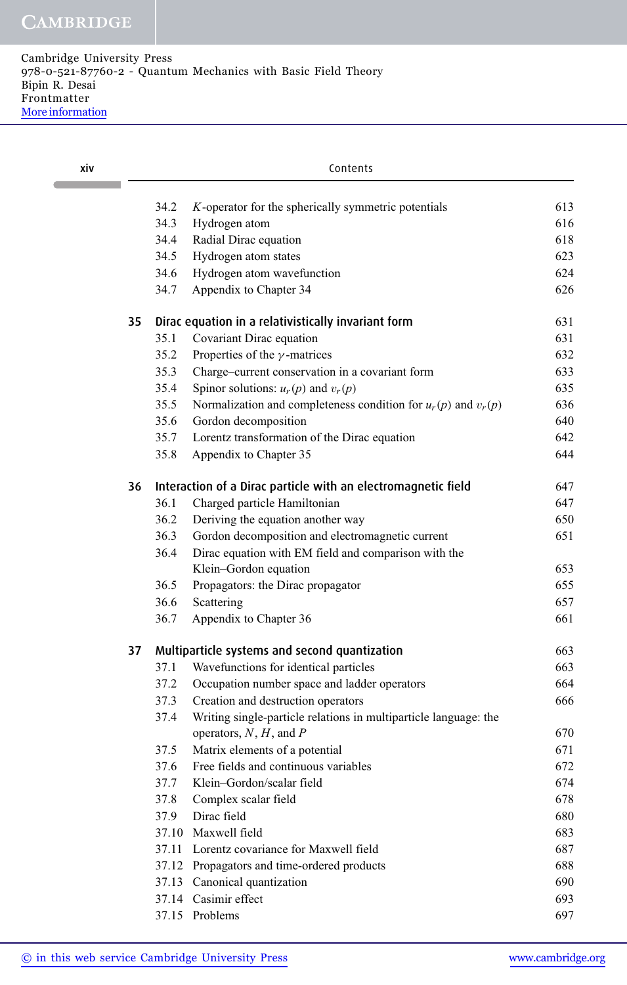| xiv |    |       | Contents                                                           |     |  |
|-----|----|-------|--------------------------------------------------------------------|-----|--|
|     |    | 34.2  | $K$ -operator for the spherically symmetric potentials             | 613 |  |
|     |    | 34.3  | Hydrogen atom                                                      | 616 |  |
|     |    | 34.4  | Radial Dirac equation                                              | 618 |  |
|     |    | 34.5  | Hydrogen atom states                                               | 623 |  |
|     |    | 34.6  | Hydrogen atom wavefunction                                         | 624 |  |
|     |    | 34.7  | Appendix to Chapter 34                                             | 626 |  |
|     | 35 |       | Dirac equation in a relativistically invariant form                | 631 |  |
|     |    | 35.1  | Covariant Dirac equation                                           | 631 |  |
|     |    | 35.2  | Properties of the $\gamma$ -matrices                               | 632 |  |
|     |    | 35.3  | Charge-current conservation in a covariant form                    | 633 |  |
|     |    | 35.4  | Spinor solutions: $u_r(p)$ and $v_r(p)$                            | 635 |  |
|     |    | 35.5  | Normalization and completeness condition for $u_r(p)$ and $v_r(p)$ | 636 |  |
|     |    | 35.6  | Gordon decomposition                                               | 640 |  |
|     |    | 35.7  | Lorentz transformation of the Dirac equation                       | 642 |  |
|     |    | 35.8  | Appendix to Chapter 35                                             | 644 |  |
|     | 36 |       | Interaction of a Dirac particle with an electromagnetic field      | 647 |  |
|     |    | 36.1  | Charged particle Hamiltonian                                       | 647 |  |
|     |    | 36.2  | Deriving the equation another way                                  | 650 |  |
|     |    | 36.3  | Gordon decomposition and electromagnetic current                   | 651 |  |
|     |    | 36.4  | Dirac equation with EM field and comparison with the               |     |  |
|     |    |       | Klein-Gordon equation                                              | 653 |  |
|     |    | 36.5  | Propagators: the Dirac propagator                                  | 655 |  |
|     |    | 36.6  | Scattering                                                         | 657 |  |
|     |    | 36.7  | Appendix to Chapter 36                                             | 661 |  |
|     | 37 |       | Multiparticle systems and second quantization                      | 663 |  |
|     |    | 37.1  | Wavefunctions for identical particles                              | 663 |  |
|     |    | 37.2  | Occupation number space and ladder operators                       | 664 |  |
|     |    | 37.3  | Creation and destruction operators                                 | 666 |  |
|     |    | 37.4  | Writing single-particle relations in multiparticle language: the   |     |  |
|     |    |       | operators, $N$ , $H$ , and $P$                                     | 670 |  |
|     |    | 37.5  | Matrix elements of a potential                                     | 671 |  |
|     |    | 37.6  | Free fields and continuous variables                               | 672 |  |
|     |    | 37.7  | Klein-Gordon/scalar field                                          | 674 |  |
|     |    | 37.8  | Complex scalar field                                               | 678 |  |
|     |    | 37.9  | Dirac field                                                        | 680 |  |
|     |    |       | 37.10 Maxwell field                                                | 683 |  |
|     |    | 37.11 | Lorentz covariance for Maxwell field                               | 687 |  |
|     |    |       | 37.12 Propagators and time-ordered products                        | 688 |  |
|     |    |       | 37.13 Canonical quantization                                       | 690 |  |
|     |    | 37.14 | Casimir effect                                                     | 693 |  |
|     |    |       | 37.15 Problems                                                     | 697 |  |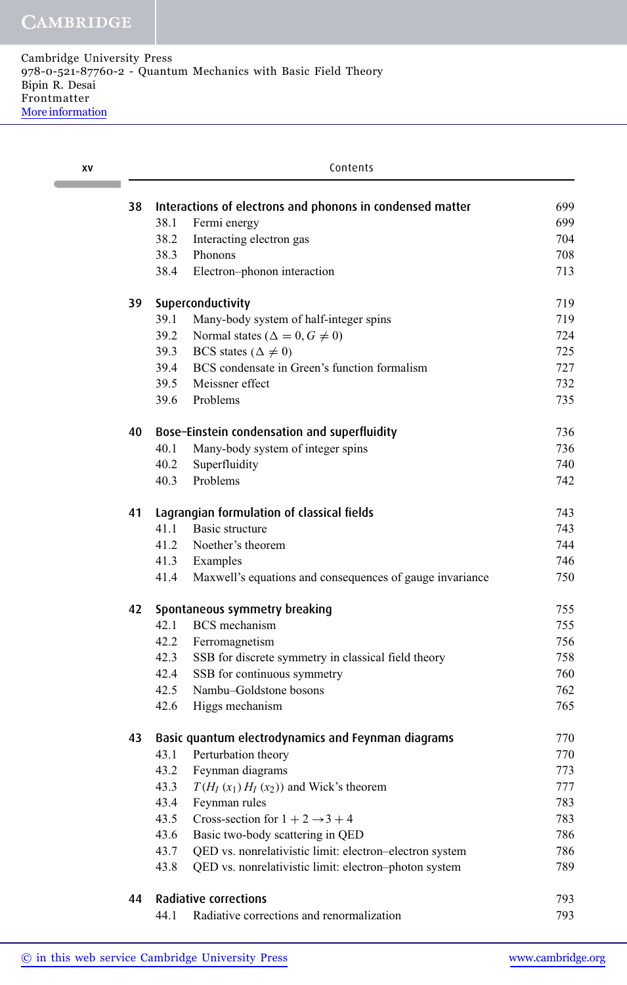| XV |    | Contents                                                         |     |  |  |  |
|----|----|------------------------------------------------------------------|-----|--|--|--|
|    | 38 | Interactions of electrons and phonons in condensed matter        | 699 |  |  |  |
|    |    | 38.1<br>Fermi energy                                             | 699 |  |  |  |
|    |    | 38.2<br>Interacting electron gas                                 | 704 |  |  |  |
|    |    | Phonons<br>38.3                                                  | 708 |  |  |  |
|    |    | 38.4<br>Electron-phonon interaction                              | 713 |  |  |  |
|    | 39 | Superconductivity                                                | 719 |  |  |  |
|    |    | 39.1<br>Many-body system of half-integer spins                   | 719 |  |  |  |
|    |    | 39.2<br>Normal states ( $\Delta = 0, G \neq 0$ )                 | 724 |  |  |  |
|    |    | 39.3<br>BCS states ( $\Delta \neq 0$ )                           | 725 |  |  |  |
|    |    | 39.4<br>BCS condensate in Green's function formalism             | 727 |  |  |  |
|    |    | 39.5<br>Meissner effect                                          | 732 |  |  |  |
|    |    | 39.6<br>Problems                                                 | 735 |  |  |  |
|    | 40 | Bose-Einstein condensation and superfluidity                     | 736 |  |  |  |
|    |    | 40.1<br>Many-body system of integer spins                        | 736 |  |  |  |
|    |    | 40.2<br>Superfluidity                                            | 740 |  |  |  |
|    |    | Problems<br>40.3                                                 | 742 |  |  |  |
|    | 41 | Lagrangian formulation of classical fields                       | 743 |  |  |  |
|    |    | 41.1<br>Basic structure                                          | 743 |  |  |  |
|    |    | 41.2<br>Noether's theorem                                        | 744 |  |  |  |
|    |    | 41.3<br>Examples                                                 | 746 |  |  |  |
|    |    | 41.4<br>Maxwell's equations and consequences of gauge invariance | 750 |  |  |  |
|    | 42 | Spontaneous symmetry breaking                                    | 755 |  |  |  |
|    |    | <b>BCS</b> mechanism<br>42.1                                     | 755 |  |  |  |
|    |    | 42.2<br>Ferromagnetism                                           | 756 |  |  |  |
|    |    | 42.3<br>SSB for discrete symmetry in classical field theory      | 758 |  |  |  |
|    |    | 42.4<br>SSB for continuous symmetry                              | 760 |  |  |  |
|    |    | 42.5<br>Nambu-Goldstone bosons                                   | 762 |  |  |  |
|    |    | 42.6<br>Higgs mechanism                                          | 765 |  |  |  |
|    | 43 | Basic quantum electrodynamics and Feynman diagrams               | 770 |  |  |  |
|    |    | 43.1<br>Perturbation theory                                      | 770 |  |  |  |
|    |    | 43.2<br>Feynman diagrams                                         | 773 |  |  |  |
|    |    | 43.3<br>$T(H_I(x_1)H_I(x_2))$ and Wick's theorem                 | 777 |  |  |  |
|    |    | 43.4<br>Feynman rules                                            | 783 |  |  |  |
|    |    | 43.5<br>Cross-section for $1 + 2 \rightarrow 3 + 4$              | 783 |  |  |  |
|    |    | 43.6<br>Basic two-body scattering in QED                         | 786 |  |  |  |
|    |    | 43.7<br>QED vs. nonrelativistic limit: electron-electron system  | 786 |  |  |  |
|    |    | 43.8<br>QED vs. nonrelativistic limit: electron-photon system    | 789 |  |  |  |
|    | 44 | <b>Radiative corrections</b>                                     | 793 |  |  |  |
|    |    | Radiative corrections and renormalization<br>44.1                | 793 |  |  |  |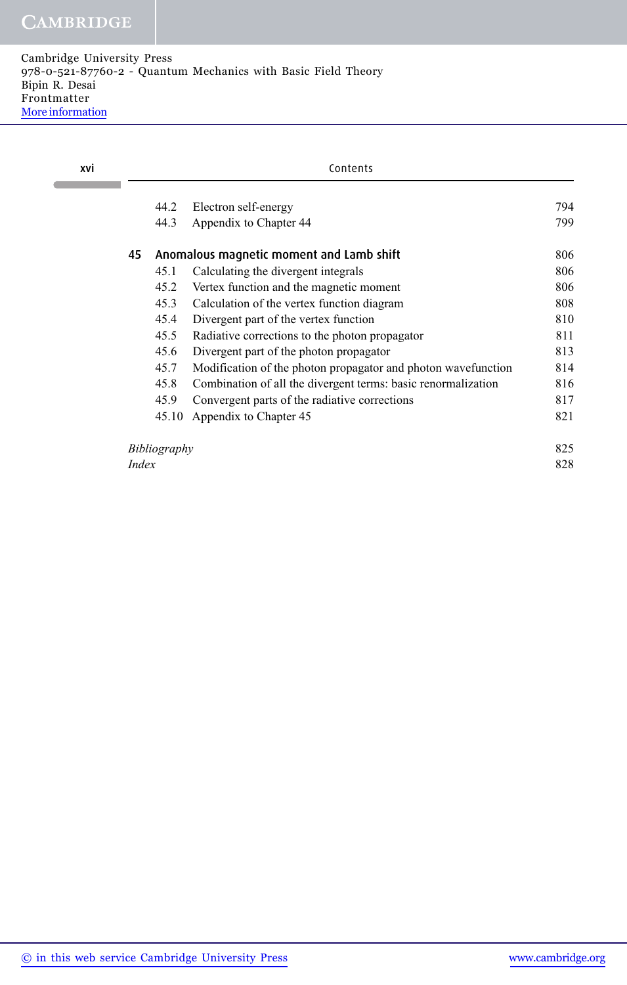| xvi |              | Contents     |                                                               |     |  |
|-----|--------------|--------------|---------------------------------------------------------------|-----|--|
|     |              | 44.2         | Electron self-energy                                          | 794 |  |
|     |              | 44.3         | Appendix to Chapter 44                                        | 799 |  |
|     | 45           |              | Anomalous magnetic moment and Lamb shift                      | 806 |  |
|     |              | 45.1         | Calculating the divergent integrals                           | 806 |  |
|     |              | 45.2         | Vertex function and the magnetic moment                       | 806 |  |
|     |              | 45.3         | Calculation of the vertex function diagram                    | 808 |  |
|     |              | 45.4         | Divergent part of the vertex function                         | 810 |  |
|     |              | 45.5         | Radiative corrections to the photon propagator                | 811 |  |
|     |              | 45.6         | Divergent part of the photon propagator                       | 813 |  |
|     |              | 45.7         | Modification of the photon propagator and photon wavefunction | 814 |  |
|     |              | 45.8         | Combination of all the divergent terms: basic renormalization | 816 |  |
|     |              | 45.9         | Convergent parts of the radiative corrections                 | 817 |  |
|     |              | 45.10        | Appendix to Chapter 45                                        | 821 |  |
|     |              | Bibliography |                                                               | 825 |  |
|     | <i>Index</i> |              |                                                               | 828 |  |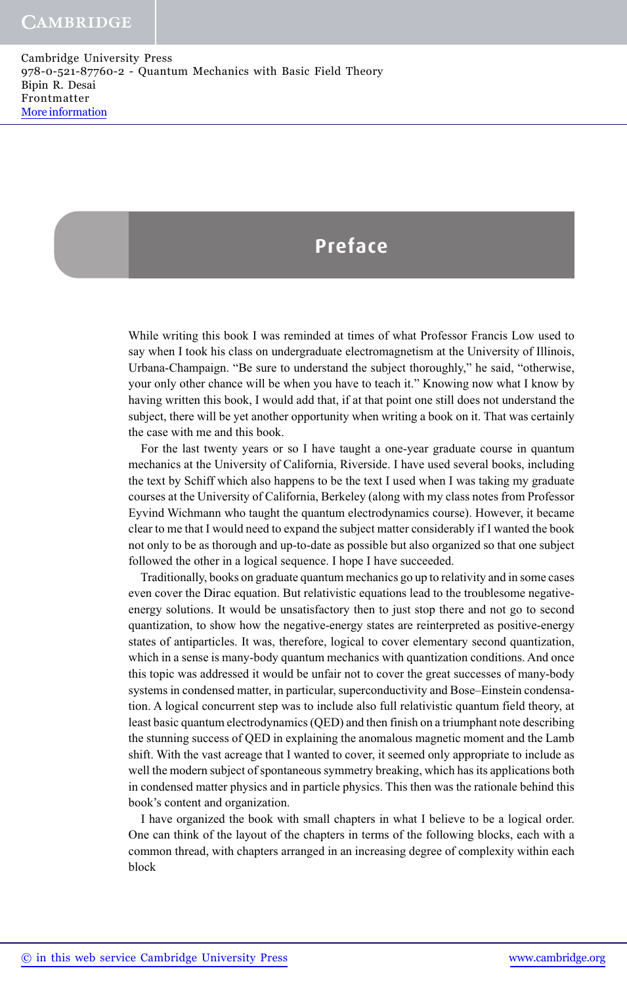#### **Preface**

While writing this book I was reminded at times of what Professor Francis Low used to say when I took his class on undergraduate electromagnetism at the University of Illinois, Urbana-Champaign. "Be sure to understand the subject thoroughly," he said, "otherwise, your only other chance will be when you have to teach it." Knowing now what I know by having written this book, I would add that, if at that point one still does not understand the subject, there will be yet another opportunity when writing a book on it. That was certainly the case with me and this book.

For the last twenty years or so I have taught a one-year graduate course in quantum mechanics at the University of California, Riverside. I have used several books, including the text by Schiff which also happens to be the text I used when I was taking my graduate courses at the University of California, Berkeley (along with my class notes from Professor Eyvind Wichmann who taught the quantum electrodynamics course). However, it became clear to me that I would need to expand the subject matter considerably if I wanted the book not only to be as thorough and up-to-date as possible but also organized so that one subject followed the other in a logical sequence. I hope I have succeeded.

Traditionally, books on graduate quantum mechanics go up to relativity and in some cases even cover the Dirac equation. But relativistic equations lead to the troublesome negativeenergy solutions. It would be unsatisfactory then to just stop there and not go to second quantization, to show how the negative-energy states are reinterpreted as positive-energy states of antiparticles. It was, therefore, logical to cover elementary second quantization, which in a sense is many-body quantum mechanics with quantization conditions. And once this topic was addressed it would be unfair not to cover the great successes of many-body systems in condensed matter, in particular, superconductivity and Bose–Einstein condensation. A logical concurrent step was to include also full relativistic quantum field theory, at least basic quantum electrodynamics (QED) and then finish on a triumphant note describing the stunning success of QED in explaining the anomalous magnetic moment and the Lamb shift. With the vast acreage that I wanted to cover, it seemed only appropriate to include as well the modern subject of spontaneous symmetry breaking, which has its applications both in condensed matter physics and in particle physics. This then was the rationale behind this book's content and organization.

I have organized the book with small chapters in what I believe to be a logical order. One can think of the layout of the chapters in terms of the following blocks, each with a common thread, with chapters arranged in an increasing degree of complexity within each block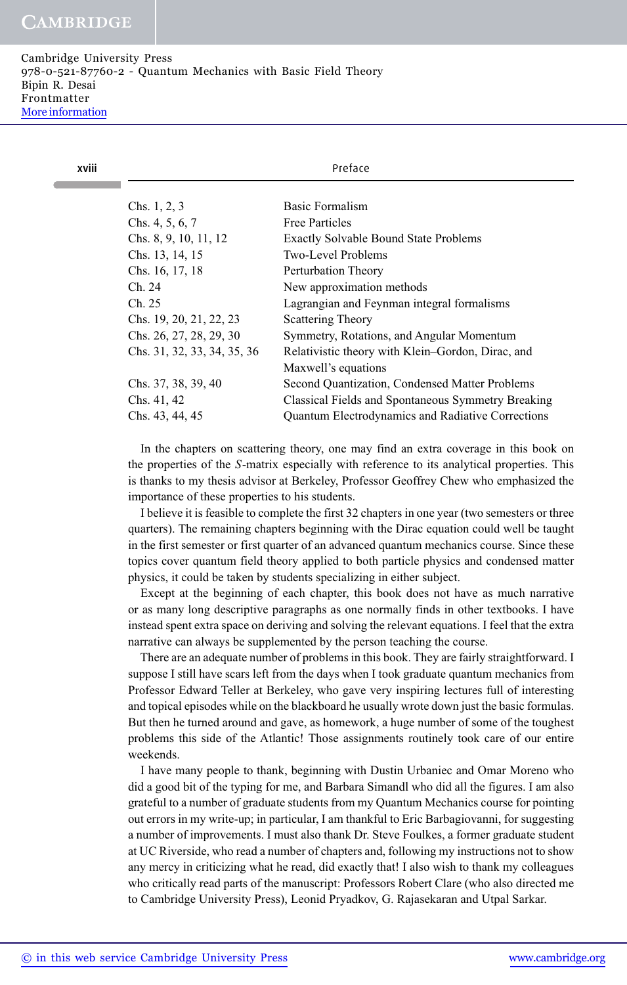xviii Preface

| Chs. $1, 2, 3$              | Basic Formalism                                    |
|-----------------------------|----------------------------------------------------|
| Chs. $4, 5, 6, 7$           | <b>Free Particles</b>                              |
| Chs. 8, 9, 10, 11, 12       | <b>Exactly Solvable Bound State Problems</b>       |
| Chs. 13, 14, 15             | Two-Level Problems                                 |
| Chs. 16, 17, 18             | Perturbation Theory                                |
| Ch. 24                      | New approximation methods                          |
| Ch. 25                      | Lagrangian and Feynman integral formalisms         |
| Chs. 19, 20, 21, 22, 23     | Scattering Theory                                  |
| Chs. 26, 27, 28, 29, 30     | Symmetry, Rotations, and Angular Momentum          |
| Chs. 31, 32, 33, 34, 35, 36 | Relativistic theory with Klein-Gordon, Dirac, and  |
|                             | Maxwell's equations                                |
| Chs. 37, 38, 39, 40         | Second Quantization, Condensed Matter Problems     |
| Chs. 41, 42                 | Classical Fields and Spontaneous Symmetry Breaking |
| Chs. 43, 44, 45             | Quantum Electrodynamics and Radiative Corrections  |

In the chapters on scattering theory, one may find an extra coverage in this book on the properties of the *S*-matrix especially with reference to its analytical properties. This is thanks to my thesis advisor at Berkeley, Professor Geoffrey Chew who emphasized the importance of these properties to his students.

I believe it is feasible to complete the first 32 chapters in one year (two semesters or three quarters). The remaining chapters beginning with the Dirac equation could well be taught in the first semester or first quarter of an advanced quantum mechanics course. Since these topics cover quantum field theory applied to both particle physics and condensed matter physics, it could be taken by students specializing in either subject.

Except at the beginning of each chapter, this book does not have as much narrative or as many long descriptive paragraphs as one normally finds in other textbooks. I have instead spent extra space on deriving and solving the relevant equations. I feel that the extra narrative can always be supplemented by the person teaching the course.

There are an adequate number of problems in this book. They are fairly straightforward. I suppose I still have scars left from the days when I took graduate quantum mechanics from Professor Edward Teller at Berkeley, who gave very inspiring lectures full of interesting and topical episodes while on the blackboard he usually wrote down just the basic formulas. But then he turned around and gave, as homework, a huge number of some of the toughest problems this side of the Atlantic! Those assignments routinely took care of our entire weekends.

I have many people to thank, beginning with Dustin Urbaniec and Omar Moreno who did a good bit of the typing for me, and Barbara Simandl who did all the figures. I am also grateful to a number of graduate students from my Quantum Mechanics course for pointing out errors in my write-up; in particular, I am thankful to Eric Barbagiovanni, for suggesting a number of improvements. I must also thank Dr. Steve Foulkes, a former graduate student at UC Riverside, who read a number of chapters and, following my instructions not to show any mercy in criticizing what he read, did exactly that! I also wish to thank my colleagues who critically read parts of the manuscript: Professors Robert Clare (who also directed me to Cambridge University Press), Leonid Pryadkov, G. Rajasekaran and Utpal Sarkar.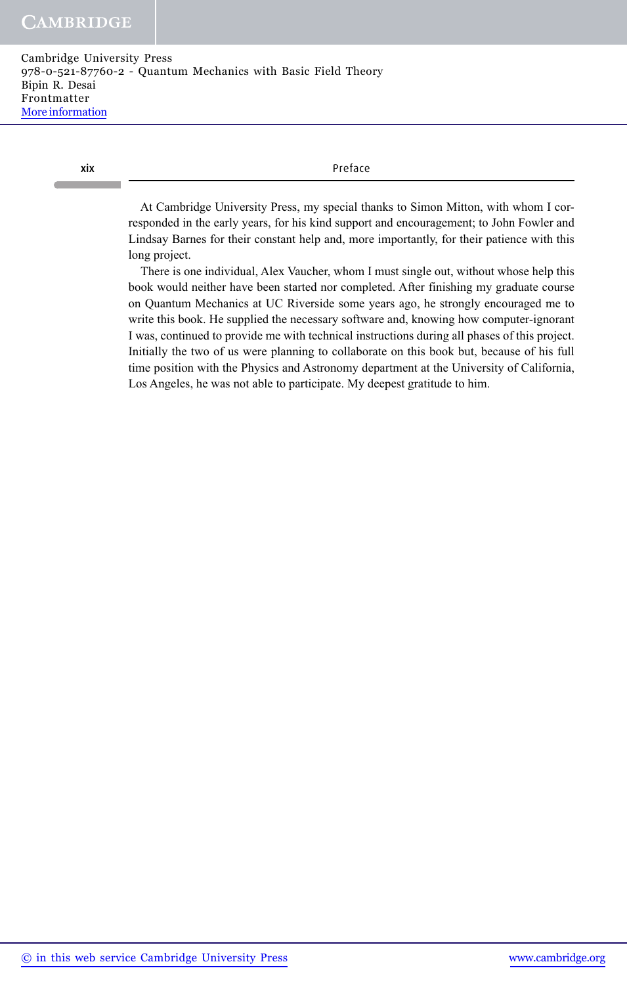xix Preface

At Cambridge University Press, my special thanks to Simon Mitton, with whom I corresponded in the early years, for his kind support and encouragement; to John Fowler and Lindsay Barnes for their constant help and, more importantly, for their patience with this long project.

There is one individual, Alex Vaucher, whom I must single out, without whose help this book would neither have been started nor completed. After finishing my graduate course on Quantum Mechanics at UC Riverside some years ago, he strongly encouraged me to write this book. He supplied the necessary software and, knowing how computer-ignorant I was, continued to provide me with technical instructions during all phases of this project. Initially the two of us were planning to collaborate on this book but, because of his full time position with the Physics and Astronomy department at the University of California, Los Angeles, he was not able to participate. My deepest gratitude to him.